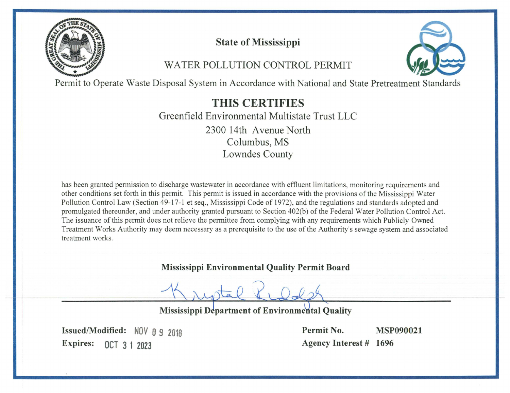

# **State of Mississippi**

# **WATER POLLUTION CONTROL PERMIT**



Permit to Operate Waste Disposal System in Accordance with National and State Pretreatment Standards

**THIS CERTIFIES** Greenfield Environmental Multistate Trust LLC 2300 14th Avenue North Columbus, MS **Lowndes County** 

has been granted permission to discharge wastewater in accordance with effluent limitations, monitoring requirements and other conditions set forth in this permit. This permit is issued in accordance with the provisions of the Mississippi Water Pollution Control Law (Section 49-17-1 et seq., Mississippi Code of 1972), and the regulations and standards adopted and promulgated thereunder, and under authority granted pursuant to Section 402(b) of the Federal Water Pollution Control Act. The issuance of this permit does not relieve the permittee from complying with any requirements which Publicly Owned Treatment Works Authority may deem necessary as a prerequisite to the use of the Authority's sewage system and associated treatment works.

**Mississippi Environmental Quality Permit Board** 

**Mississippi Department of Environmental Quality** 

Issued/Modified: NOV 0 9 2018 **Expires:** OCT 3 1 2023

Permit No. **MSP090021 Agency Interest # 1696**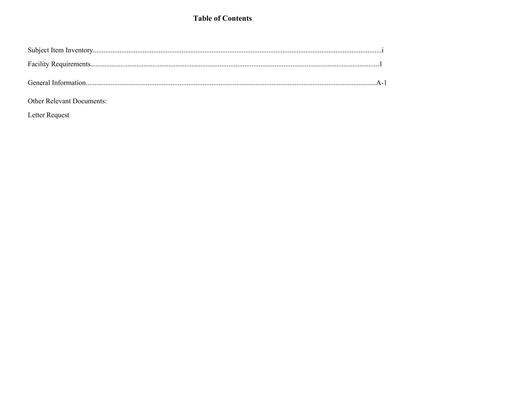## **Table of Contents**

# Other Relevant Documents:

Letter Request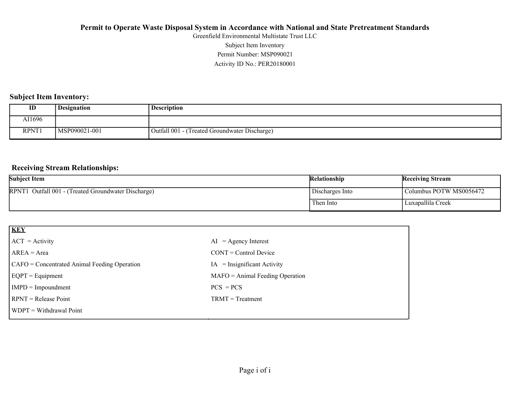Activity ID No.: PER20180001 Permit Number: MSP090021 Subject Item Inventory Greenfield Environmental Multistate Trust LLC

### **Subject Item Inventory:**

| ID     | <b>Designation</b> | <b>Description</b>                             |
|--------|--------------------|------------------------------------------------|
| AI1696 |                    |                                                |
| RPNT1  | MSP090021-001      | (Treated Groundwater Discharge)<br>Outfall 001 |

### **Receiving Stream Relationships:**

| <b>Subject Item</b>                                 | <b>Relationship</b> | <b>Receiving Stream</b> |
|-----------------------------------------------------|---------------------|-------------------------|
| RPNT1 Outfall 001 - (Treated Groundwater Discharge) | Discharges Into     | Columbus POTW MS0056472 |
|                                                     | Then Into           | Luxapallila Creek       |

| $=$ Agency Interest<br>AI         |
|-----------------------------------|
| $CONT = Control$ Device           |
| $IA =$ Insignificant Activity     |
| $MAFO = Animal Feeding Operation$ |
| $PCS = PCs$                       |
| $TRMT = Treatment$                |
|                                   |
|                                   |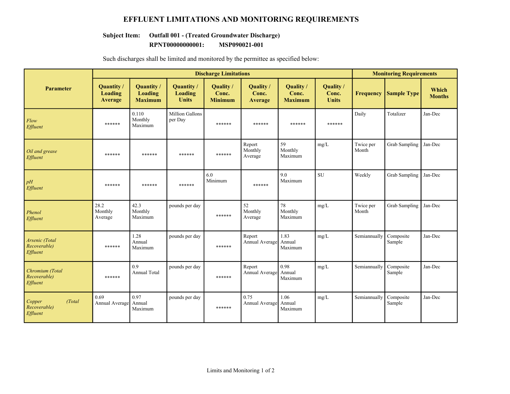### **EFFLUENT LIMITATIONS AND MONITORING REQUIREMENTS**

# **Subject Item: Outfall 001 - (Treated Groundwater Discharge)**

**RPNT00000000001: MSP090021-001**

|                                               | <b>Discharge Limitations</b>           |                                                |                                       |                                      |                               |                                      |                                    |                    | <b>Monitoring Requirements</b> |                        |  |
|-----------------------------------------------|----------------------------------------|------------------------------------------------|---------------------------------------|--------------------------------------|-------------------------------|--------------------------------------|------------------------------------|--------------------|--------------------------------|------------------------|--|
| Parameter                                     | Quantity/<br>Loading<br><b>Average</b> | Quantity /<br><b>Loading</b><br><b>Maximum</b> | Quantity /<br>Loading<br><b>Units</b> | Quality /<br>Conc.<br><b>Minimum</b> | Quality /<br>Conc.<br>Average | Quality /<br>Conc.<br><b>Maximum</b> | Quality /<br>Conc.<br><b>Units</b> | <b>Frequency</b>   | <b>Sample Type</b>             | Which<br><b>Months</b> |  |
| Flow<br>Effluent                              | ******                                 | 0.110<br>Monthly<br>Maximum                    | Million Gallons<br>per Day            | ******                               | ******                        | ******                               | ******                             | Daily              | Totalizer                      | Jan-Dec                |  |
| Oil and grease<br>Effluent                    | ******                                 | ******                                         | ******                                | ******                               | Report<br>Monthly<br>Average  | 59<br>Monthly<br>Maximum             | mg/L                               | Twice per<br>Month | Grab Sampling                  | Jan-Dec                |  |
| pH<br>Effluent                                | ******                                 | ******                                         | ******                                | 6.0<br>Minimum                       | ******                        | 9.0<br>Maximum                       | <b>SU</b>                          | Weekly             | Grab Sampling                  | Jan-Dec                |  |
| Phenol<br>Effluent                            | 28.2<br>Monthly<br>Average             | 42.3<br>Monthly<br>Maximum                     | pounds per day                        | ******                               | 52<br>Monthly<br>Average      | 78<br>Monthly<br>Maximum             | mg/L                               | Twice per<br>Month | Grab Sampling                  | Jan-Dec                |  |
| Arsenic (Total<br>Recoverable)<br>Effluent    | ******                                 | 1.28<br>Annual<br>Maximum                      | pounds per day                        | ******                               | Report<br>Annual Average      | 1.83<br>Annual<br>Maximum            | mg/L                               | Semiannually       | Composite<br>Sample            | Jan-Dec                |  |
| Chromium (Total<br>Recoverable)<br>Effluent   | ******                                 | 0.9<br><b>Annual Total</b>                     | pounds per day                        | ******                               | Report<br>Annual Average      | 0.98<br>Annual<br>Maximum            | mg/L                               | Semiannually       | Composite<br>Sample            | Jan-Dec                |  |
| (Total)<br>Copper<br>Recoverable)<br>Effluent | 0.69<br>Annual Average                 | 0.97<br>Annual<br>Maximum                      | pounds per day                        | ******                               | 0.75<br>Annual Average        | 1.06<br>Annual<br>Maximum            | mg/L                               | Semiannually       | Composite<br>Sample            | Jan-Dec                |  |

Such discharges shall be limited and monitored by the permittee as specified below: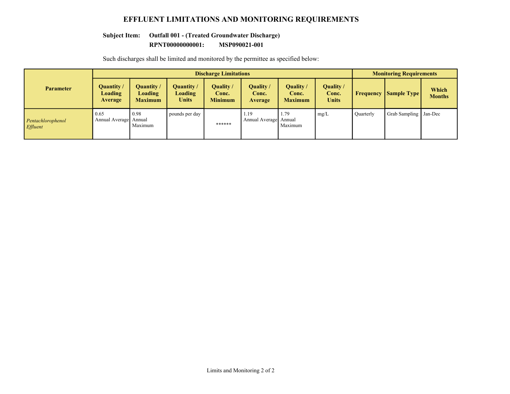### **EFFLUENT LIMITATIONS AND MONITORING REQUIREMENTS**

# **Subject Item: Outfall 001 - (Treated Groundwater Discharge)**

**RPNT00000000001: MSP090021-001**

|                                      | <b>Discharge Limitations</b>           |                                                |                                |                                             |                                 |                                      |                                           | <b>Monitoring Requirements</b> |                      |                        |
|--------------------------------------|----------------------------------------|------------------------------------------------|--------------------------------|---------------------------------------------|---------------------------------|--------------------------------------|-------------------------------------------|--------------------------------|----------------------|------------------------|
| <b>Parameter</b>                     | Quantity/<br><b>Loading</b><br>Average | Quantity /<br><b>Loading</b><br><b>Maximum</b> | Quantity /<br>Loading<br>Units | <b>Quality</b> /<br>Conc.<br><b>Minimum</b> | Quality /<br>Conc.<br>Average   | Quality /<br>Conc.<br><b>Maximum</b> | <b>Quality</b> /<br>Conc.<br><b>Units</b> | Frequency                      | <b>Sample Type</b>   | Which<br><b>Months</b> |
| Pentachlorophenol<br><b>Effluent</b> | 0.65<br>Annual Average Annual          | 0.98<br>Maximum                                | pounds per day                 | ******                                      | l.19<br>Annual Average   Annual | 1.79<br>Maximum                      | mg/L                                      | Ouarterly                      | <b>Grab Sampling</b> | Jan-Dec                |

Such discharges shall be limited and monitored by the permittee as specified below: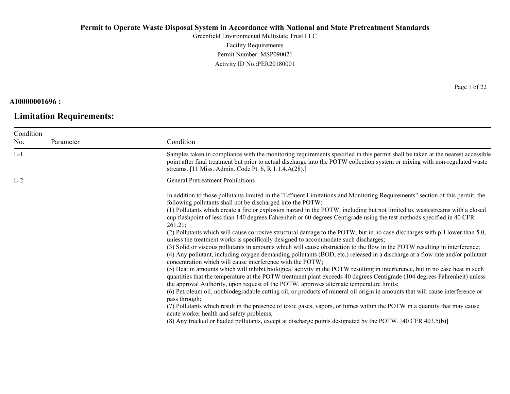Greenfield Environmental Multistate Trust LLC Facility Requirements Permit Number: MSP090021 Activity ID No.:PER20180001

**AI0000001696 :**

# **Limitation Requirements:**

Page 1 of 22

| Condition |           |                                                                                                                                                                                                                                                                                                                                                                                                                                                                                                                                                                                                                                                                                                                                                                                                                                                                                                                                                                                                                                                                                                                                                                                                                                                                                                                                                                                                                                                                                                                                                                                                                                                                                                                                                                                                                       |
|-----------|-----------|-----------------------------------------------------------------------------------------------------------------------------------------------------------------------------------------------------------------------------------------------------------------------------------------------------------------------------------------------------------------------------------------------------------------------------------------------------------------------------------------------------------------------------------------------------------------------------------------------------------------------------------------------------------------------------------------------------------------------------------------------------------------------------------------------------------------------------------------------------------------------------------------------------------------------------------------------------------------------------------------------------------------------------------------------------------------------------------------------------------------------------------------------------------------------------------------------------------------------------------------------------------------------------------------------------------------------------------------------------------------------------------------------------------------------------------------------------------------------------------------------------------------------------------------------------------------------------------------------------------------------------------------------------------------------------------------------------------------------------------------------------------------------------------------------------------------------|
| No.       | Parameter | Condition                                                                                                                                                                                                                                                                                                                                                                                                                                                                                                                                                                                                                                                                                                                                                                                                                                                                                                                                                                                                                                                                                                                                                                                                                                                                                                                                                                                                                                                                                                                                                                                                                                                                                                                                                                                                             |
| $L-1$     |           | Samples taken in compliance with the monitoring requirements specified in this permit shall be taken at the nearest accessible<br>point after final treatment but prior to actual discharge into the POTW collection system or mixing with non-regulated waste<br>streams. [11 Miss. Admin. Code Pt. 6, R.1.1.4.A(28).]                                                                                                                                                                                                                                                                                                                                                                                                                                                                                                                                                                                                                                                                                                                                                                                                                                                                                                                                                                                                                                                                                                                                                                                                                                                                                                                                                                                                                                                                                               |
| $L-2$     |           | <b>General Pretreatment Prohibitions</b>                                                                                                                                                                                                                                                                                                                                                                                                                                                                                                                                                                                                                                                                                                                                                                                                                                                                                                                                                                                                                                                                                                                                                                                                                                                                                                                                                                                                                                                                                                                                                                                                                                                                                                                                                                              |
|           |           | In addition to those pollutants limited in the "Effluent Limitations and Monitoring Requirements" section of this permit, the<br>following pollutants shall not be discharged into the POTW:<br>(1) Pollutants which create a fire or explosion hazard in the POTW, including but not limited to, wastestreams with a closed<br>cup flashpoint of less than 140 degrees Fahrenheit or 60 degrees Centigrade using the test methods specified in 40 CFR<br>261.21;<br>(2) Pollutants which will cause corrosive structural damage to the POTW, but in no case discharges with pH lower than 5.0,<br>unless the treatment works is specifically designed to accommodate such discharges;<br>(3) Solid or viscous pollutants in amounts which will cause obstruction to the flow in the POTW resulting in interference;<br>(4) Any pollutant, including oxygen demanding pollutants (BOD, etc.) released in a discharge at a flow rate and/or pollutant<br>concentration which will cause interference with the POTW;<br>(5) Heat in amounts which will inhibit biological activity in the POTW resulting in interference, but in no case heat in such<br>quantities that the temperature at the POTW treatment plant exceeds 40 degrees Centigrade (104 degrees Fahrenheit) unless<br>the approval Authority, upon request of the POTW, approves alternate temperature limits;<br>(6) Petroleum oil, nonbiodegradable cutting oil, or products of mineral oil origin in amounts that will cause interference or<br>pass through;<br>(7) Pollutants which result in the presence of toxic gases, vapors, or fumes within the POTW in a quantity that may cause<br>acute worker health and safety problems;<br>(8) Any trucked or hauled pollutants, except at discharge points designated by the POTW. [40 CFR 403.5(b)] |
|           |           |                                                                                                                                                                                                                                                                                                                                                                                                                                                                                                                                                                                                                                                                                                                                                                                                                                                                                                                                                                                                                                                                                                                                                                                                                                                                                                                                                                                                                                                                                                                                                                                                                                                                                                                                                                                                                       |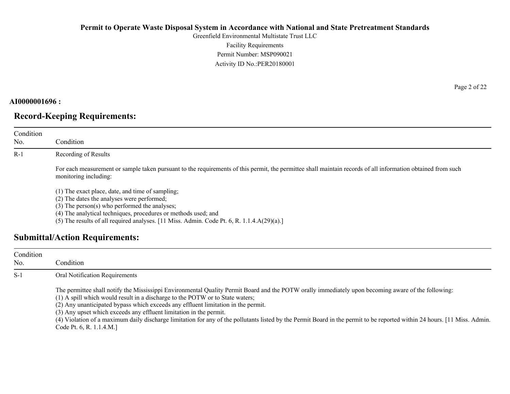Greenfield Environmental Multistate Trust LLC Facility Requirements Permit Number: MSP090021 Activity ID No.:PER20180001

#### **AI0000001696 :**

# **Record-Keeping Requirements:**

| Condition<br>No. | Condition                                                                                                                                                                                                                                                                                                                                                                                                                                                                                                                                                    |  |  |  |
|------------------|--------------------------------------------------------------------------------------------------------------------------------------------------------------------------------------------------------------------------------------------------------------------------------------------------------------------------------------------------------------------------------------------------------------------------------------------------------------------------------------------------------------------------------------------------------------|--|--|--|
| $R-1$            | Recording of Results                                                                                                                                                                                                                                                                                                                                                                                                                                                                                                                                         |  |  |  |
|                  | For each measurement or sample taken pursuant to the requirements of this permit, the permittee shall maintain records of all information obtained from such<br>monitoring including:                                                                                                                                                                                                                                                                                                                                                                        |  |  |  |
|                  | (1) The exact place, date, and time of sampling;<br>(2) The dates the analyses were performed;<br>$(3)$ The person $(s)$ who performed the analyses;<br>(4) The analytical techniques, procedures or methods used; and<br>$\mathbf{1}$ $\mathbf{0}$ $\mathbf{1}$ $\mathbf{1}$ $\mathbf{1}$ $\mathbf{1}$ $\mathbf{1}$ $\mathbf{1}$ $\mathbf{1}$ $\mathbf{1}$ $\mathbf{1}$ $\mathbf{1}$ $\mathbf{1}$ $\mathbf{1}$ $\mathbf{1}$ $\mathbf{1}$ $\mathbf{1}$ $\mathbf{1}$ $\mathbf{1}$ $\mathbf{1}$ $\mathbf{1}$ $\mathbf{1}$ $\mathbf{1}$ $\mathbf{1}$ $\mathbf{$ |  |  |  |

# (5) The results of all required analyses. [11 Miss. Admin. Code Pt. 6, R. 1.1.4.A(29)(a).]

# **Submittal/Action Requirements:**

| Condition<br>No. | Condition                                                                                                                                                                                                                                                                                                                                                                                                                                                                                                                                                                                                 |
|------------------|-----------------------------------------------------------------------------------------------------------------------------------------------------------------------------------------------------------------------------------------------------------------------------------------------------------------------------------------------------------------------------------------------------------------------------------------------------------------------------------------------------------------------------------------------------------------------------------------------------------|
| $S-1$            | <b>Oral Notification Requirements</b>                                                                                                                                                                                                                                                                                                                                                                                                                                                                                                                                                                     |
|                  | The permittee shall notify the Mississippi Environmental Quality Permit Board and the POTW orally immediately upon becoming aware of the following:<br>(1) A spill which would result in a discharge to the POTW or to State waters;<br>(2) Any unanticipated bypass which exceeds any effluent limitation in the permit.<br>(3) Any upset which exceeds any effluent limitation in the permit.<br>(4) Violation of a maximum daily discharge limitation for any of the pollutants listed by the Permit Board in the permit to be reported within 24 hours. [11 Miss. Admin.]<br>Code Pt. 6, R. 1.1.4.M.] |

Page 2 of 22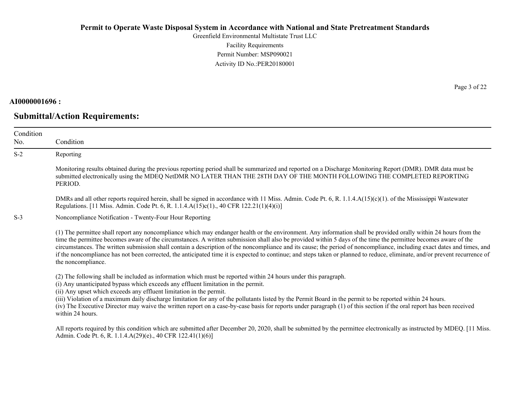Greenfield Environmental Multistate Trust LLC Facility Requirements Permit Number: MSP090021 Activity ID No.:PER20180001

#### **AI0000001696 :**

# **Submittal/Action Requirements:**

Page 3 of 22

| Condition<br>No. | Condition                                                                                                                                                                                                                                                                                                                                                                                                                                                                                                                                                                                                                                                                                                           |
|------------------|---------------------------------------------------------------------------------------------------------------------------------------------------------------------------------------------------------------------------------------------------------------------------------------------------------------------------------------------------------------------------------------------------------------------------------------------------------------------------------------------------------------------------------------------------------------------------------------------------------------------------------------------------------------------------------------------------------------------|
| $S-2$            | Reporting                                                                                                                                                                                                                                                                                                                                                                                                                                                                                                                                                                                                                                                                                                           |
|                  | Monitoring results obtained during the previous reporting period shall be summarized and reported on a Discharge Monitoring Report (DMR). DMR data must be<br>submitted electronically using the MDEQ NetDMR NO LATER THAN THE 28TH DAY OF THE MONTH FOLLOWING THE COMPLETED REPORTING<br>PERIOD.                                                                                                                                                                                                                                                                                                                                                                                                                   |
|                  | DMRs and all other reports required herein, shall be signed in accordance with 11 Miss. Admin. Code Pt. 6, R. 1.1.4.A(15)(c)(1). of the Mississippi Wastewater<br>Regulations. [11 Miss. Admin. Code Pt. 6, R. 1.1.4.A(15)c(1)., 40 CFR 122.21(1)(4)(i)]                                                                                                                                                                                                                                                                                                                                                                                                                                                            |
| $S-3$            | Noncompliance Notification - Twenty-Four Hour Reporting                                                                                                                                                                                                                                                                                                                                                                                                                                                                                                                                                                                                                                                             |
|                  | (1) The permittee shall report any noncompliance which may endanger health or the environment. Any information shall be provided orally within 24 hours from the<br>time the permittee becomes aware of the circumstances. A written submission shall also be provided within 5 days of the time the permittee becomes aware of the<br>circumstances. The written submission shall contain a description of the noncompliance and its cause; the period of noncompliance, including exact dates and times, and<br>if the noncompliance has not been corrected, the anticipated time it is expected to continue; and steps taken or planned to reduce, eliminate, and/or prevent recurrence of<br>the noncompliance. |
|                  | (2) The following shall be included as information which must be reported within 24 hours under this paragraph.<br>(i) Any unanticipated bypass which exceeds any effluent limitation in the permit.<br>(ii) Any upset which exceeds any effluent limitation in the permit.<br>(iii) Violation of a maximum daily discharge limitation for any of the pollutants listed by the Permit Board in the permit to be reported within 24 hours.<br>(iv) The Executive Director may waive the written report on a case-by-case basis for reports under paragraph (1) of this section if the oral report has been received<br>within 24 hours.                                                                              |
|                  | All reports required by this condition which are submitted after December 20, 2020, shall be submitted by the permittee electronically as instructed by MDEQ. [11 Miss.]<br>Admin. Code Pt. 6, R. 1.1.4.A(29)(e)., 40 CFR 122.41(1)(6)]                                                                                                                                                                                                                                                                                                                                                                                                                                                                             |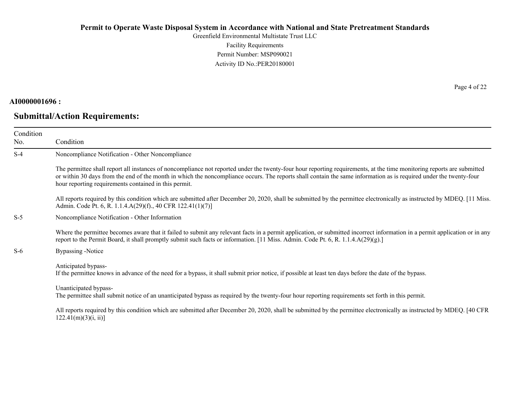Greenfield Environmental Multistate Trust LLC Facility Requirements Permit Number: MSP090021 Activity ID No.:PER20180001

#### **AI0000001696 :**

# **Submittal/Action Requirements:**

Page 4 of 22

| Condition<br>No. | Condition                                                                                                                                                                                                                                                                                                                                                                                             |
|------------------|-------------------------------------------------------------------------------------------------------------------------------------------------------------------------------------------------------------------------------------------------------------------------------------------------------------------------------------------------------------------------------------------------------|
| $S-4$            | Noncompliance Notification - Other Noncompliance                                                                                                                                                                                                                                                                                                                                                      |
|                  | The permittee shall report all instances of noncompliance not reported under the twenty-four hour reporting requirements, at the time monitoring reports are submitted<br>or within 30 days from the end of the month in which the noncompliance occurs. The reports shall contain the same information as is required under the twenty-four<br>hour reporting requirements contained in this permit. |
|                  | All reports required by this condition which are submitted after December 20, 2020, shall be submitted by the permittee electronically as instructed by MDEQ. [11 Miss.]<br>Admin. Code Pt. 6, R. 1.1.4.A(29)(f)., 40 CFR 122.41(1)(7)]                                                                                                                                                               |
| $S-5$            | Noncompliance Notification - Other Information                                                                                                                                                                                                                                                                                                                                                        |
|                  | Where the permittee becomes aware that it failed to submit any relevant facts in a permit application, or submitted incorrect information in a permit application or in any<br>report to the Permit Board, it shall promptly submit such facts or information. [11 Miss. Admin. Code Pt. 6, R. 1.1.4.A(29)(g).]                                                                                       |
| $S-6$            | Bypassing -Notice                                                                                                                                                                                                                                                                                                                                                                                     |
|                  | Anticipated bypass-<br>If the permittee knows in advance of the need for a bypass, it shall submit prior notice, if possible at least ten days before the date of the bypass.                                                                                                                                                                                                                         |
|                  | Unanticipated bypass-<br>The permittee shall submit notice of an unanticipated bypass as required by the twenty-four hour reporting requirements set forth in this permit.                                                                                                                                                                                                                            |
|                  | All reports required by this condition which are submitted after December 20, 2020, shall be submitted by the permittee electronically as instructed by MDEQ. [40 CFR<br>122.41(m)(3)(i, ii)                                                                                                                                                                                                          |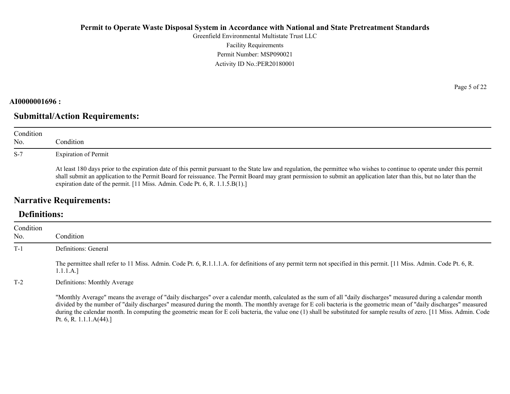Greenfield Environmental Multistate Trust LLC Facility Requirements Permit Number: MSP090021 Activity ID No.:PER20180001

#### **AI0000001696 :**

# **Submittal/Action Requirements:**

| Condition<br>No. | Condition                                                                                                                                                                                                                                                                                                                                                                                                                         |
|------------------|-----------------------------------------------------------------------------------------------------------------------------------------------------------------------------------------------------------------------------------------------------------------------------------------------------------------------------------------------------------------------------------------------------------------------------------|
| $S-7$            | <b>Expiration of Permit</b>                                                                                                                                                                                                                                                                                                                                                                                                       |
|                  | At least 180 days prior to the expiration date of this permit pursuant to the State law and regulation, the permittee who wishes to continue to operate under this permit<br>shall submit an application to the Permit Board for reissuance. The Permit Board may grant permission to submit an application later than this, but no later than the<br>expiration date of the permit. [11 Miss. Admin. Code Pt. 6, R. 1.1.5.B(1).] |

# **Narrative Requirements:**

# **Definitions:**

| Condition<br>No. | Condition                                                                                                                                                                                                                                                                                                                                                                                                                                                                                                                                           |
|------------------|-----------------------------------------------------------------------------------------------------------------------------------------------------------------------------------------------------------------------------------------------------------------------------------------------------------------------------------------------------------------------------------------------------------------------------------------------------------------------------------------------------------------------------------------------------|
| $T-1$            | Definitions: General                                                                                                                                                                                                                                                                                                                                                                                                                                                                                                                                |
|                  | The permittee shall refer to 11 Miss. Admin. Code Pt. 6, R.1.1.1.A. for definitions of any permit term not specified in this permit. [11 Miss. Admin. Code Pt. 6, R.<br>1.1.1.A.]                                                                                                                                                                                                                                                                                                                                                                   |
| $T-2$            | Definitions: Monthly Average                                                                                                                                                                                                                                                                                                                                                                                                                                                                                                                        |
|                  | "Monthly Average" means the average of "daily discharges" over a calendar month, calculated as the sum of all "daily discharges" measured during a calendar month<br>divided by the number of "daily discharges" measured during the month. The monthly average for E coli bacteria is the geometric mean of "daily discharges" measured<br>during the calendar month. In computing the geometric mean for E coli bacteria, the value one (1) shall be substituted for sample results of zero. [11 Miss. Admin. Code<br>Pt. 6, R. 1.1.1. $A(44)$ .] |

Page 5 of 22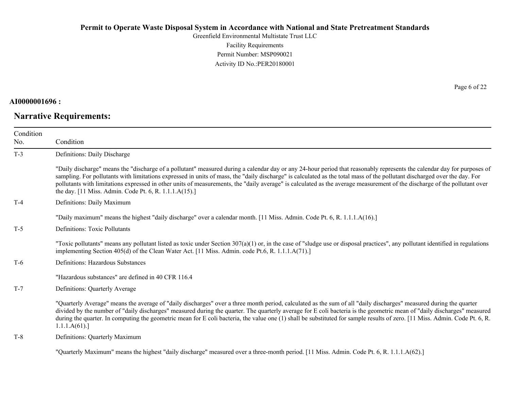Greenfield Environmental Multistate Trust LLC Facility Requirements Permit Number: MSP090021 Activity ID No.:PER20180001

### **AI0000001696 :**

# **Narrative Requirements:**

Page 6 of 22

| Condition<br>No. | Condition                                                                                                                                                                                                                                                                                                                                                                                                                                                                                                                                                                                   |
|------------------|---------------------------------------------------------------------------------------------------------------------------------------------------------------------------------------------------------------------------------------------------------------------------------------------------------------------------------------------------------------------------------------------------------------------------------------------------------------------------------------------------------------------------------------------------------------------------------------------|
| $T-3$            | Definitions: Daily Discharge                                                                                                                                                                                                                                                                                                                                                                                                                                                                                                                                                                |
|                  | "Daily discharge" means the "discharge of a pollutant" measured during a calendar day or any 24-hour period that reasonably represents the calendar day for purposes of<br>sampling. For pollutants with limitations expressed in units of mass, the "daily discharge" is calculated as the total mass of the pollutant discharged over the day. For<br>pollutants with limitations expressed in other units of measurements, the "daily average" is calculated as the average measurement of the discharge of the pollutant over<br>the day. [11 Miss. Admin. Code Pt. 6, R. 1.1.1.A(15).] |
| $T-4$            | Definitions: Daily Maximum                                                                                                                                                                                                                                                                                                                                                                                                                                                                                                                                                                  |
|                  | "Daily maximum" means the highest "daily discharge" over a calendar month. [11 Miss. Admin. Code Pt. 6, R. 1.1.1.A(16).]                                                                                                                                                                                                                                                                                                                                                                                                                                                                    |
| $T-5$            | <b>Definitions: Toxic Pollutants</b>                                                                                                                                                                                                                                                                                                                                                                                                                                                                                                                                                        |
|                  | "Toxic pollutants" means any pollutant listed as toxic under Section 307(a)(1) or, in the case of "sludge use or disposal practices", any pollutant identified in regulations<br>implementing Section 405(d) of the Clean Water Act. [11 Miss. Admin. code Pt.6, R. 1.1.1.A(71).]                                                                                                                                                                                                                                                                                                           |
| $T-6$            | Definitions: Hazardous Substances                                                                                                                                                                                                                                                                                                                                                                                                                                                                                                                                                           |
|                  | "Hazardous substances" are defined in 40 CFR 116.4                                                                                                                                                                                                                                                                                                                                                                                                                                                                                                                                          |
| $T-7$            | Definitions: Quarterly Average                                                                                                                                                                                                                                                                                                                                                                                                                                                                                                                                                              |
|                  | "Quarterly Average" means the average of "daily discharges" over a three month period, calculated as the sum of all "daily discharges" measured during the quarter<br>divided by the number of "daily discharges" measured during the quarter. The quarterly average for E coli bacteria is the geometric mean of "daily discharges" measured<br>during the quarter. In computing the geometric mean for E coli bacteria, the value one (1) shall be substituted for sample results of zero. [11 Miss. Admin. Code Pt. 6, R.<br>1.1.1.A(61).                                                |
| $T-8$            | Definitions: Quarterly Maximum                                                                                                                                                                                                                                                                                                                                                                                                                                                                                                                                                              |
|                  |                                                                                                                                                                                                                                                                                                                                                                                                                                                                                                                                                                                             |

"Quarterly Maximum" means the highest "daily discharge" measured over a three-month period. [11 Miss. Admin. Code Pt. 6, R. 1.1.1.A(62).]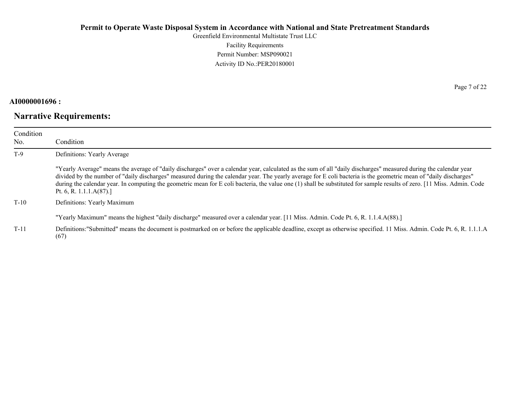Greenfield Environmental Multistate Trust LLC Facility Requirements Permit Number: MSP090021 Activity ID No.:PER20180001

## **AI0000001696 :**

# **Narrative Requirements:**

Page 7 of 22

| Condition<br>No. | Condition                                                                                                                                                                                                                                                                                                                                                                                                                                                                                                                                       |
|------------------|-------------------------------------------------------------------------------------------------------------------------------------------------------------------------------------------------------------------------------------------------------------------------------------------------------------------------------------------------------------------------------------------------------------------------------------------------------------------------------------------------------------------------------------------------|
| $T-9$            | Definitions: Yearly Average                                                                                                                                                                                                                                                                                                                                                                                                                                                                                                                     |
|                  | "Yearly Average" means the average of "daily discharges" over a calendar year, calculated as the sum of all "daily discharges" measured during the calendar year<br>divided by the number of "daily discharges" measured during the calendar year. The yearly average for E coli bacteria is the geometric mean of "daily discharges"<br>during the calendar year. In computing the geometric mean for E coli bacteria, the value one (1) shall be substituted for sample results of zero. [11 Miss. Admin. Code<br>Pt. 6, R. 1.1.1. $A(87)$ .] |
| $T-10$           | Definitions: Yearly Maximum                                                                                                                                                                                                                                                                                                                                                                                                                                                                                                                     |
|                  | "Yearly Maximum" means the highest "daily discharge" measured over a calendar year. [11 Miss. Admin. Code Pt. 6, R. 1.1.4.A(88).]                                                                                                                                                                                                                                                                                                                                                                                                               |
| $T-11$           | Definitions: "Submitted" means the document is postmarked on or before the applicable deadline, except as otherwise specified. 11 Miss. Admin. Code Pt. 6, R. 1.1.1.A<br>(67)                                                                                                                                                                                                                                                                                                                                                                   |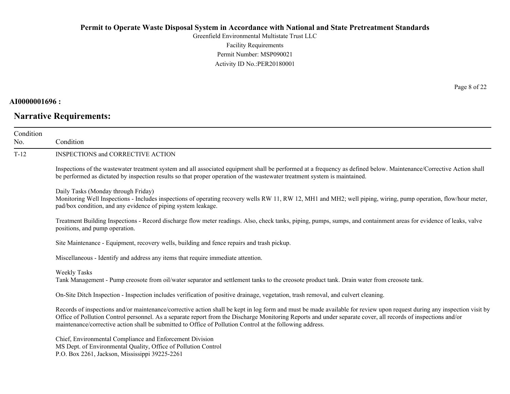Greenfield Environmental Multistate Trust LLC Facility Requirements Permit Number: MSP090021 Activity ID No.:PER20180001

## **AI0000001696 :**

# **Narrative Requirements:**

Page 8 of 22

| Condition<br>No. | Condition                                                                                                                                                                                                                                                                                                                                                                                                                                             |
|------------------|-------------------------------------------------------------------------------------------------------------------------------------------------------------------------------------------------------------------------------------------------------------------------------------------------------------------------------------------------------------------------------------------------------------------------------------------------------|
| $T-12$           | INSPECTIONS and CORRECTIVE ACTION                                                                                                                                                                                                                                                                                                                                                                                                                     |
|                  | Inspections of the wastewater treatment system and all associated equipment shall be performed at a frequency as defined below. Maintenance/Corrective Action shall<br>be performed as dictated by inspection results so that proper operation of the wastewater treatment system is maintained.                                                                                                                                                      |
|                  | Daily Tasks (Monday through Friday)<br>Monitoring Well Inspections - Includes inspections of operating recovery wells RW 11, RW 12, MH1 and MH2; well piping, wiring, pump operation, flow/hour meter,<br>pad/box condition, and any evidence of piping system leakage.                                                                                                                                                                               |
|                  | Treatment Building Inspections - Record discharge flow meter readings. Also, check tanks, piping, pumps, sumps, and containment areas for evidence of leaks, valve<br>positions, and pump operation.                                                                                                                                                                                                                                                  |
|                  | Site Maintenance - Equipment, recovery wells, building and fence repairs and trash pickup.                                                                                                                                                                                                                                                                                                                                                            |
|                  | Miscellaneous - Identify and address any items that require immediate attention.                                                                                                                                                                                                                                                                                                                                                                      |
|                  | <b>Weekly Tasks</b><br>Tank Management - Pump creosote from oil/water separator and settlement tanks to the creosote product tank. Drain water from creosote tank.                                                                                                                                                                                                                                                                                    |
|                  | On-Site Ditch Inspection - Inspection includes verification of positive drainage, vegetation, trash removal, and culvert cleaning.                                                                                                                                                                                                                                                                                                                    |
|                  | Records of inspections and/or maintenance/corrective action shall be kept in log form and must be made available for review upon request during any inspection visit by<br>Office of Pollution Control personnel. As a separate report from the Discharge Monitoring Reports and under separate cover, all records of inspections and/or<br>maintenance/corrective action shall be submitted to Office of Pollution Control at the following address. |
|                  | Chief, Environmental Compliance and Enforcement Division<br>MS Dept. of Environmental Quality, Office of Pollution Control<br>P.O. Box 2261, Jackson, Mississippi 39225-2261                                                                                                                                                                                                                                                                          |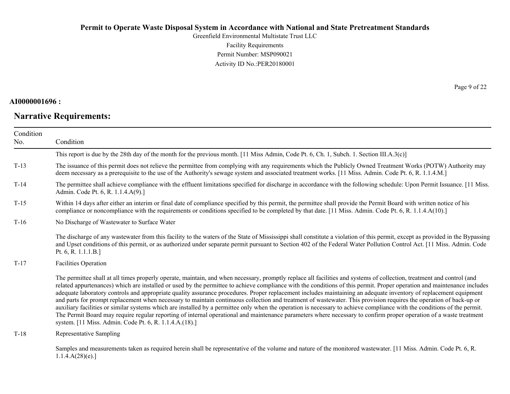Greenfield Environmental Multistate Trust LLC Facility Requirements Permit Number: MSP090021 Activity ID No.:PER20180001

### **AI0000001696 :**

# **Narrative Requirements:**

Page 9 of 22

| Condition<br>No. | Condition                                                                                                                                                                                                                                                                                                                                                                                                                                                                                                                                                                                                                                                                                                                                                                                                                                                                                                                                                                                                                                                                                                |
|------------------|----------------------------------------------------------------------------------------------------------------------------------------------------------------------------------------------------------------------------------------------------------------------------------------------------------------------------------------------------------------------------------------------------------------------------------------------------------------------------------------------------------------------------------------------------------------------------------------------------------------------------------------------------------------------------------------------------------------------------------------------------------------------------------------------------------------------------------------------------------------------------------------------------------------------------------------------------------------------------------------------------------------------------------------------------------------------------------------------------------|
|                  | This report is due by the 28th day of the month for the previous month. [11 Miss Admin, Code Pt. 6, Ch. 1, Subch. 1. Section III.A.3(c)]                                                                                                                                                                                                                                                                                                                                                                                                                                                                                                                                                                                                                                                                                                                                                                                                                                                                                                                                                                 |
| $T-13$           | The issuance of this permit does not relieve the permittee from complying with any requirements which the Publicly Owned Treatment Works (POTW) Authority may<br>deem necessary as a prerequisite to the use of the Authority's sewage system and associated treatment works. [11 Miss. Admin. Code Pt. 6, R. 1.1.4.M.]                                                                                                                                                                                                                                                                                                                                                                                                                                                                                                                                                                                                                                                                                                                                                                                  |
| $T-14$           | The permittee shall achieve compliance with the effluent limitations specified for discharge in accordance with the following schedule: Upon Permit Issuance. [11 Miss.]<br>Admin. Code Pt. 6, R. 1.1.4.A(9).]                                                                                                                                                                                                                                                                                                                                                                                                                                                                                                                                                                                                                                                                                                                                                                                                                                                                                           |
| $T-15$           | Within 14 days after either an interim or final date of compliance specified by this permit, the permittee shall provide the Permit Board with written notice of his<br>compliance or noncompliance with the requirements or conditions specified to be completed by that date. [11 Miss. Admin. Code Pt. 6, R. 1.1.4.A(10).]                                                                                                                                                                                                                                                                                                                                                                                                                                                                                                                                                                                                                                                                                                                                                                            |
| $T-16$           | No Discharge of Wastewater to Surface Water                                                                                                                                                                                                                                                                                                                                                                                                                                                                                                                                                                                                                                                                                                                                                                                                                                                                                                                                                                                                                                                              |
|                  | The discharge of any wastewater from this facility to the waters of the State of Mississippi shall constitute a violation of this permit, except as provided in the Bypassing<br>and Upset conditions of this permit, or as authorized under separate permit pursuant to Section 402 of the Federal Water Pollution Control Act. [11 Miss. Admin. Code<br>Pt. 6, R. 1.1.1.B.]                                                                                                                                                                                                                                                                                                                                                                                                                                                                                                                                                                                                                                                                                                                            |
| $T-17$           | <b>Facilities Operation</b>                                                                                                                                                                                                                                                                                                                                                                                                                                                                                                                                                                                                                                                                                                                                                                                                                                                                                                                                                                                                                                                                              |
|                  | The permittee shall at all times properly operate, maintain, and when necessary, promptly replace all facilities and systems of collection, treatment and control (and<br>related appurtenances) which are installed or used by the permittee to achieve compliance with the conditions of this permit. Proper operation and maintenance includes<br>adequate laboratory controls and appropriate quality assurance procedures. Proper replacement includes maintaining an adequate inventory of replacement equipment<br>and parts for prompt replacement when necessary to maintain continuous collection and treatment of wastewater. This provision requires the operation of back-up or<br>auxiliary facilities or similar systems which are installed by a permittee only when the operation is necessary to achieve compliance with the conditions of the permit.<br>The Permit Board may require regular reporting of internal operational and maintenance parameters where necessary to confirm proper operation of a waste treatment<br>system. [11 Miss. Admin. Code Pt. 6, R. 1.1.4.A.(18).] |
| $T-18$           | Representative Sampling                                                                                                                                                                                                                                                                                                                                                                                                                                                                                                                                                                                                                                                                                                                                                                                                                                                                                                                                                                                                                                                                                  |
|                  | Samples and measurements taken as required herein shall be representative of the volume and nature of the monitored wastewater. [11 Miss. Admin. Code Pt. 6, R.<br>1.1.4.A(28)(e).                                                                                                                                                                                                                                                                                                                                                                                                                                                                                                                                                                                                                                                                                                                                                                                                                                                                                                                       |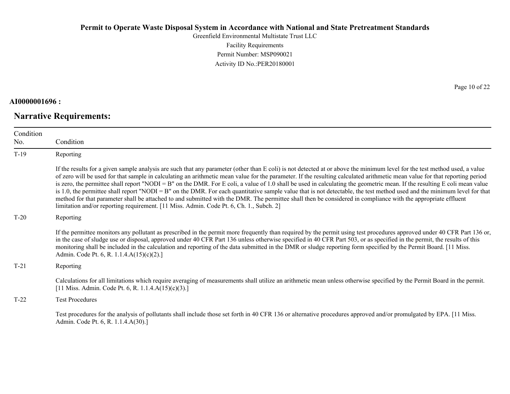Greenfield Environmental Multistate Trust LLC Facility Requirements Permit Number: MSP090021 Activity ID No.:PER20180001

### **AI0000001696 :**

# **Narrative Requirements:**

Page 10 of 22

| Condition<br>No. | Condition                                                                                                                                                                                                                                                                                                                                                                                                                                                                                                                                                                                                                                                                                                                                                                                                                                                                                                                                                                      |
|------------------|--------------------------------------------------------------------------------------------------------------------------------------------------------------------------------------------------------------------------------------------------------------------------------------------------------------------------------------------------------------------------------------------------------------------------------------------------------------------------------------------------------------------------------------------------------------------------------------------------------------------------------------------------------------------------------------------------------------------------------------------------------------------------------------------------------------------------------------------------------------------------------------------------------------------------------------------------------------------------------|
| $T-19$           | Reporting                                                                                                                                                                                                                                                                                                                                                                                                                                                                                                                                                                                                                                                                                                                                                                                                                                                                                                                                                                      |
|                  | If the results for a given sample analysis are such that any parameter (other than E coli) is not detected at or above the minimum level for the test method used, a value<br>of zero will be used for that sample in calculating an arithmetic mean value for the parameter. If the resulting calculated arithmetic mean value for that reporting period<br>is zero, the permittee shall report "NODI = B" on the DMR. For E coli, a value of 1.0 shall be used in calculating the geometric mean. If the resulting E coli mean value<br>is 1.0, the permittee shall report "NODI = B" on the DMR. For each quantitative sample value that is not detectable, the test method used and the minimum level for that<br>method for that parameter shall be attached to and submitted with the DMR. The permittee shall then be considered in compliance with the appropriate effluent<br>limitation and/or reporting requirement. [11 Miss. Admin. Code Pt. 6, Ch. 1., Subch. 2] |
| $T-20$           | Reporting                                                                                                                                                                                                                                                                                                                                                                                                                                                                                                                                                                                                                                                                                                                                                                                                                                                                                                                                                                      |
|                  | If the permittee monitors any pollutant as prescribed in the permit more frequently than required by the permit using test procedures approved under 40 CFR Part 136 or,<br>in the case of sludge use or disposal, approved under 40 CFR Part 136 unless otherwise specified in 40 CFR Part 503, or as specified in the permit, the results of this<br>monitoring shall be included in the calculation and reporting of the data submitted in the DMR or sludge reporting form specified by the Permit Board. [11 Miss.]<br>Admin. Code Pt. 6, R. 1.1.4.A(15)(c)(2).]                                                                                                                                                                                                                                                                                                                                                                                                          |
| $T-21$           | Reporting                                                                                                                                                                                                                                                                                                                                                                                                                                                                                                                                                                                                                                                                                                                                                                                                                                                                                                                                                                      |
|                  | Calculations for all limitations which require averaging of measurements shall utilize an arithmetic mean unless otherwise specified by the Permit Board in the permit.<br>[11 Miss. Admin. Code Pt. 6, R. 1.1.4. $A(15)(c)(3)$ .]                                                                                                                                                                                                                                                                                                                                                                                                                                                                                                                                                                                                                                                                                                                                             |
| $T-22$           | <b>Test Procedures</b>                                                                                                                                                                                                                                                                                                                                                                                                                                                                                                                                                                                                                                                                                                                                                                                                                                                                                                                                                         |
|                  | Test procedures for the analysis of pollutants shall include those set forth in 40 CFR 136 or alternative procedures approved and/or promulgated by EPA. [11 Miss.]<br>Admin. Code Pt. 6, R. 1.1.4.A(30).]                                                                                                                                                                                                                                                                                                                                                                                                                                                                                                                                                                                                                                                                                                                                                                     |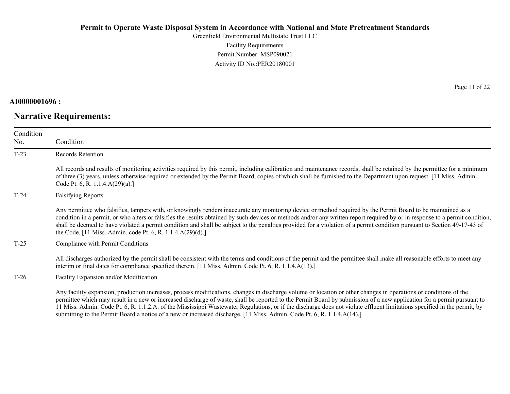Greenfield Environmental Multistate Trust LLC Facility Requirements Permit Number: MSP090021 Activity ID No.:PER20180001

#### **AI0000001696 :**

# **Narrative Requirements:**

Page 11 of 22

| Condition<br>No. | Condition                                                                                                                                                                                                                                                                                                                                                                                                                                                                                                                                                                                |
|------------------|------------------------------------------------------------------------------------------------------------------------------------------------------------------------------------------------------------------------------------------------------------------------------------------------------------------------------------------------------------------------------------------------------------------------------------------------------------------------------------------------------------------------------------------------------------------------------------------|
| $T-23$           | Records Retention                                                                                                                                                                                                                                                                                                                                                                                                                                                                                                                                                                        |
|                  | All records and results of monitoring activities required by this permit, including calibration and maintenance records, shall be retained by the permittee for a minimum<br>of three (3) years, unless otherwise required or extended by the Permit Board, copies of which shall be furnished to the Department upon request. [11 Miss. Admin.]<br>Code Pt. 6, R. 1.1.4. $A(29)(a)$ .]                                                                                                                                                                                                  |
| $T-24$           | <b>Falsifying Reports</b>                                                                                                                                                                                                                                                                                                                                                                                                                                                                                                                                                                |
|                  | Any permittee who falsifies, tampers with, or knowingly renders inaccurate any monitoring device or method required by the Permit Board to be maintained as a<br>condition in a permit, or who alters or falsifies the results obtained by such devices or methods and/or any written report required by or in response to a permit condition,<br>shall be deemed to have violated a permit condition and shall be subject to the penalties provided for a violation of a permit condition pursuant to Section 49-17-43 of<br>the Code. [11 Miss. Admin. code Pt. 6, R. 1.1.4.A(29)(d).] |
| $T-25$           | Compliance with Permit Conditions                                                                                                                                                                                                                                                                                                                                                                                                                                                                                                                                                        |
|                  | All discharges authorized by the permit shall be consistent with the terms and conditions of the permit and the permittee shall make all reasonable efforts to meet any<br>interim or final dates for compliance specified therein. [11 Miss. Admin. Code Pt. 6, R. 1.1.4.A(13).]                                                                                                                                                                                                                                                                                                        |
| $T-26$           | Facility Expansion and/or Modification                                                                                                                                                                                                                                                                                                                                                                                                                                                                                                                                                   |
|                  | Any facility expansion, production increases, process modifications, changes in discharge volume or location or other changes in operations or conditions of the<br>permittee which may result in a new or increased discharge of waste, shall be reported to the Permit Board by submission of a new application for a permit pursuant to                                                                                                                                                                                                                                               |

11 Miss. Admin. Code Pt. 6, R. 1.1.2.A. of the Mississippi Wastewater Regulations, or if the discharge does not violate effluent limitations specified in the permit, by

submitting to the Permit Board a notice of a new or increased discharge. [11 Miss. Admin. Code Pt. 6, R. 1.1.4.A(14).]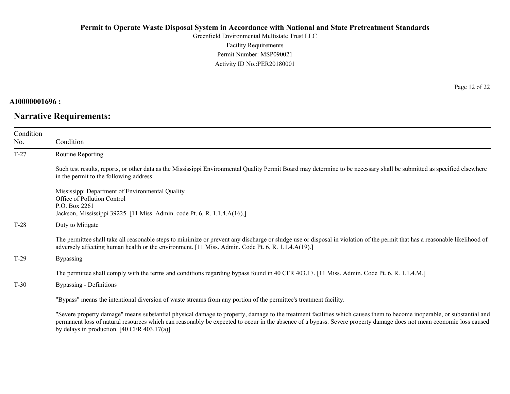Greenfield Environmental Multistate Trust LLC Facility Requirements Permit Number: MSP090021 Activity ID No.:PER20180001

#### **AI0000001696 :**

# **Narrative Requirements:**

Page 12 of 22

| Condition |                                                                                                                                                                                                                                                                                   |
|-----------|-----------------------------------------------------------------------------------------------------------------------------------------------------------------------------------------------------------------------------------------------------------------------------------|
| No.       | Condition                                                                                                                                                                                                                                                                         |
| $T-27$    | Routine Reporting                                                                                                                                                                                                                                                                 |
|           | Such test results, reports, or other data as the Mississippi Environmental Quality Permit Board may determine to be necessary shall be submitted as specified elsewhere<br>in the permit to the following address:                                                                |
|           | Mississippi Department of Environmental Quality<br>Office of Pollution Control<br>P.O. Box 2261<br>Jackson, Mississippi 39225. [11 Miss. Admin. code Pt. 6, R. 1.1.4.A(16).]                                                                                                      |
| $T-28$    | Duty to Mitigate                                                                                                                                                                                                                                                                  |
|           | The permittee shall take all reasonable steps to minimize or prevent any discharge or sludge use or disposal in violation of the permit that has a reasonable likelihood of<br>adversely affecting human health or the environment. [11 Miss. Admin. Code Pt. 6, R. 1.1.4.A(19).] |
| $T-29$    | <b>Bypassing</b>                                                                                                                                                                                                                                                                  |
|           | The permittee shall comply with the terms and conditions regarding bypass found in 40 CFR 403.17. [11 Miss. Admin. Code Pt. 6, R. 1.1.4.M.]                                                                                                                                       |
| $T-30$    | Bypassing - Definitions                                                                                                                                                                                                                                                           |
|           | "Bypass" means the intentional diversion of waste streams from any portion of the permittee's treatment facility.                                                                                                                                                                 |
|           | "Severe property damage" means substantial physical damage to property, damage to the treatment facilities which causes them to become inoperable, or substantial and                                                                                                             |

permanent loss of natural resources which can reasonably be expected to occur in the absence of a bypass. Severe property damage does not mean economic loss caused by delays in production. [40 CFR 403.17(a)]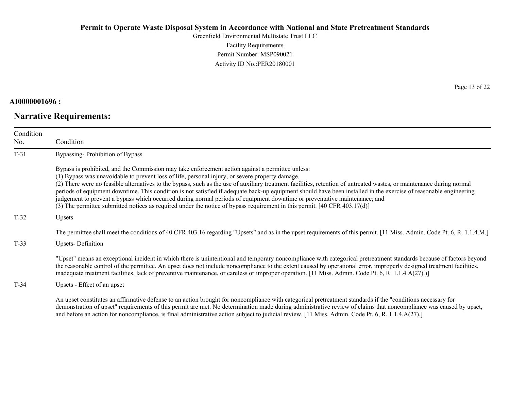Greenfield Environmental Multistate Trust LLC Facility Requirements Permit Number: MSP090021 Activity ID No.:PER20180001

### **AI0000001696 :**

# **Narrative Requirements:**

Page 13 of 22

| Condition<br>No. | Condition                                                                                                                                                                                                                                                                                                                                                                                                                                                                                                                                                                                                                                                                                                                                                                                                   |
|------------------|-------------------------------------------------------------------------------------------------------------------------------------------------------------------------------------------------------------------------------------------------------------------------------------------------------------------------------------------------------------------------------------------------------------------------------------------------------------------------------------------------------------------------------------------------------------------------------------------------------------------------------------------------------------------------------------------------------------------------------------------------------------------------------------------------------------|
| $T-31$           | Bypassing-Prohibition of Bypass                                                                                                                                                                                                                                                                                                                                                                                                                                                                                                                                                                                                                                                                                                                                                                             |
|                  | Bypass is prohibited, and the Commission may take enforcement action against a permittee unless:<br>(1) Bypass was unavoidable to prevent loss of life, personal injury, or severe property damage.<br>(2) There were no feasible alternatives to the bypass, such as the use of auxiliary treatment facilities, retention of untreated wastes, or maintenance during normal<br>periods of equipment downtime. This condition is not satisfied if adequate back-up equipment should have been installed in the exercise of reasonable engineering<br>judgement to prevent a bypass which occurred during normal periods of equipment downtime or preventative maintenance; and<br>(3) The permittee submitted notices as required under the notice of bypass requirement in this permit. [40 CFR 403.17(d)] |
| $T-32$           | Upsets                                                                                                                                                                                                                                                                                                                                                                                                                                                                                                                                                                                                                                                                                                                                                                                                      |
|                  | The permittee shall meet the conditions of 40 CFR 403.16 regarding "Upsets" and as in the upset requirements of this permit. [11 Miss. Admin. Code Pt. 6, R. 1.1.4.M.]                                                                                                                                                                                                                                                                                                                                                                                                                                                                                                                                                                                                                                      |
| $T-33$           | <b>Upsets-Definition</b>                                                                                                                                                                                                                                                                                                                                                                                                                                                                                                                                                                                                                                                                                                                                                                                    |
|                  | "Upset" means an exceptional incident in which there is unintentional and temporary noncompliance with categorical pretreatment standards because of factors beyond<br>the reasonable control of the permittee. An upset does not include noncompliance to the extent caused by operational error, improperly designed treatment facilities,<br>inadequate treatment facilities, lack of preventive maintenance, or careless or improper operation. [11 Miss. Admin. Code Pt. 6, R. 1.1.4.A(27).)]                                                                                                                                                                                                                                                                                                          |
| $T-34$           | Upsets - Effect of an upset                                                                                                                                                                                                                                                                                                                                                                                                                                                                                                                                                                                                                                                                                                                                                                                 |
|                  | An upset constitutes an affirmative defense to an action brought for noncompliance with categorical pretreatment standards if the "conditions necessary for<br>demonstration of upset" requirements of this permit are met. No determination made during administrative review of claims that noncompliance was caused by upset,<br>and before an action for noncompliance, is final administrative action subject to judicial review. [11 Miss. Admin. Code Pt. 6, R. 1.1.4.A(27).]                                                                                                                                                                                                                                                                                                                        |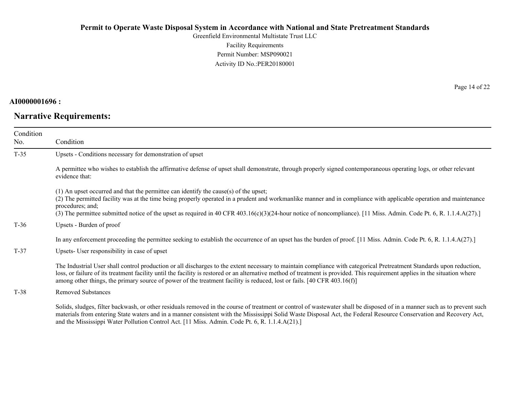Greenfield Environmental Multistate Trust LLC Facility Requirements Permit Number: MSP090021 Activity ID No.:PER20180001

### **AI0000001696 :**

# **Narrative Requirements:**

Page 14 of 22

| Condition<br>No. | Condition                                                                                                                                                                                                                                                                                                                                                                                                                                                                        |
|------------------|----------------------------------------------------------------------------------------------------------------------------------------------------------------------------------------------------------------------------------------------------------------------------------------------------------------------------------------------------------------------------------------------------------------------------------------------------------------------------------|
| $T-35$           | Upsets - Conditions necessary for demonstration of upset                                                                                                                                                                                                                                                                                                                                                                                                                         |
|                  | A permittee who wishes to establish the affirmative defense of upset shall demonstrate, through properly signed contemporaneous operating logs, or other relevant<br>evidence that:                                                                                                                                                                                                                                                                                              |
|                  | (1) An upset occurred and that the permittee can identify the cause(s) of the upset;<br>(2) The permitted facility was at the time being properly operated in a prudent and workmanlike manner and in compliance with applicable operation and maintenance<br>procedures; and;<br>(3) The permittee submitted notice of the upset as required in 40 CFR 403.16(c)(3)(24-hour notice of noncompliance). [11 Miss. Admin. Code Pt. 6, R. 1.1.4.A(27).]                             |
| $T-36$           | Upsets - Burden of proof                                                                                                                                                                                                                                                                                                                                                                                                                                                         |
|                  | In any enforcement proceeding the permittee seeking to establish the occurrence of an upset has the burden of proof. [11 Miss. Admin. Code Pt. 6, R. 1.1.4.A(27).]                                                                                                                                                                                                                                                                                                               |
| $T-37$           | Upsets- User responsibility in case of upset                                                                                                                                                                                                                                                                                                                                                                                                                                     |
|                  | The Industrial User shall control production or all discharges to the extent necessary to maintain compliance with categorical Pretreatment Standards upon reduction,<br>loss, or failure of its treatment facility until the facility is restored or an alternative method of treatment is provided. This requirement applies in the situation where<br>among other things, the primary source of power of the treatment facility is reduced, lost or fails. [40 CFR 403.16(f)] |
| $T-38$           | <b>Removed Substances</b>                                                                                                                                                                                                                                                                                                                                                                                                                                                        |
|                  | Solids, sludges, filter backwash, or other residuals removed in the course of treatment or control of wastewater shall be disposed of in a manner such as to prevent such<br>materials from entering State waters and in a manner consistent with the Mississippi Solid Waste Disposal Act, the Federal Resource Conservation and Recovery Act,<br>and the Mississippi Water Pollution Control Act. [11 Miss. Admin. Code Pt. 6, R. 1.1.4.A(21).]                                |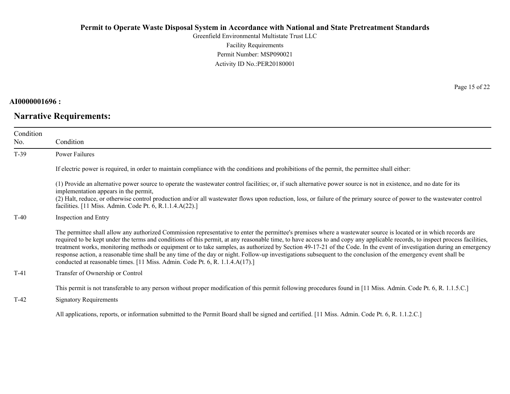Greenfield Environmental Multistate Trust LLC Facility Requirements Permit Number: MSP090021 Activity ID No.:PER20180001

#### **AI0000001696 :**

# **Narrative Requirements:**

Page 15 of 22

| Condition<br>No. | Condition                                                                                                                                                                                                                                                                                                                                                                                                                                                                                                                                                                                                                                                                                                                                                                     |
|------------------|-------------------------------------------------------------------------------------------------------------------------------------------------------------------------------------------------------------------------------------------------------------------------------------------------------------------------------------------------------------------------------------------------------------------------------------------------------------------------------------------------------------------------------------------------------------------------------------------------------------------------------------------------------------------------------------------------------------------------------------------------------------------------------|
| $T-39$           | <b>Power Failures</b>                                                                                                                                                                                                                                                                                                                                                                                                                                                                                                                                                                                                                                                                                                                                                         |
|                  | If electric power is required, in order to maintain compliance with the conditions and prohibitions of the permit, the permittee shall either:                                                                                                                                                                                                                                                                                                                                                                                                                                                                                                                                                                                                                                |
|                  | (1) Provide an alternative power source to operate the wastewater control facilities; or, if such alternative power source is not in existence, and no date for its<br>implementation appears in the permit,<br>(2) Halt, reduce, or otherwise control production and/or all wastewater flows upon reduction, loss, or failure of the primary source of power to the wastewater control<br>facilities. [11 Miss. Admin. Code Pt. 6, R.1.1.4.A(22).]                                                                                                                                                                                                                                                                                                                           |
| $T-40$           | Inspection and Entry                                                                                                                                                                                                                                                                                                                                                                                                                                                                                                                                                                                                                                                                                                                                                          |
|                  | The permittee shall allow any authorized Commission representative to enter the permittee's premises where a wastewater source is located or in which records are<br>required to be kept under the terms and conditions of this permit, at any reasonable time, to have access to and copy any applicable records, to inspect process facilities,<br>treatment works, monitoring methods or equipment or to take samples, as authorized by Section 49-17-21 of the Code. In the event of investigation during an emergency<br>response action, a reasonable time shall be any time of the day or night. Follow-up investigations subsequent to the conclusion of the emergency event shall be<br>conducted at reasonable times. [11 Miss. Admin. Code Pt. 6, R. 1.1.4.A(17).] |
| $T-41$           | Transfer of Ownership or Control                                                                                                                                                                                                                                                                                                                                                                                                                                                                                                                                                                                                                                                                                                                                              |
| $T-42$           | This permit is not transferable to any person without proper modification of this permit following procedures found in [11 Miss. Admin. Code Pt. 6, R. 1.1.5.C.]<br><b>Signatory Requirements</b>                                                                                                                                                                                                                                                                                                                                                                                                                                                                                                                                                                             |
|                  | All applications, reports, or information submitted to the Permit Board shall be signed and certified. [11 Miss. Admin. Code Pt. 6, R. 1.1.2.C.]                                                                                                                                                                                                                                                                                                                                                                                                                                                                                                                                                                                                                              |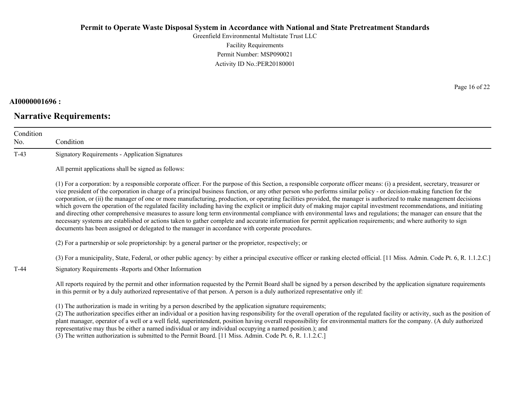Greenfield Environmental Multistate Trust LLC Facility Requirements Permit Number: MSP090021 Activity ID No.:PER20180001

#### **AI0000001696 :**

# **Narrative Requirements:**

Page 16 of 22

| Condition<br>No. | Condition                                                                                                                                                                                                                                                                                                                                                                                                                                                                                                                                                                                                                                                                                                                                                                                                                                                                                                                                                                                                                                                                                                                                      |
|------------------|------------------------------------------------------------------------------------------------------------------------------------------------------------------------------------------------------------------------------------------------------------------------------------------------------------------------------------------------------------------------------------------------------------------------------------------------------------------------------------------------------------------------------------------------------------------------------------------------------------------------------------------------------------------------------------------------------------------------------------------------------------------------------------------------------------------------------------------------------------------------------------------------------------------------------------------------------------------------------------------------------------------------------------------------------------------------------------------------------------------------------------------------|
| $T-43$           | <b>Signatory Requirements - Application Signatures</b>                                                                                                                                                                                                                                                                                                                                                                                                                                                                                                                                                                                                                                                                                                                                                                                                                                                                                                                                                                                                                                                                                         |
|                  | All permit applications shall be signed as follows:                                                                                                                                                                                                                                                                                                                                                                                                                                                                                                                                                                                                                                                                                                                                                                                                                                                                                                                                                                                                                                                                                            |
|                  | (1) For a corporation: by a responsible corporate officer. For the purpose of this Section, a responsible corporate officer means: (i) a president, secretary, treasurer or<br>vice president of the corporation in charge of a principal business function, or any other person who performs similar policy - or decision-making function for the<br>corporation, or (ii) the manager of one or more manufacturing, production, or operating facilities provided, the manager is authorized to make management decisions<br>which govern the operation of the regulated facility including having the explicit or implicit duty of making major capital investment recommendations, and initiating<br>and directing other comprehensive measures to assure long term environmental compliance with environmental laws and regulations; the manager can ensure that the<br>necessary systems are established or actions taken to gather complete and accurate information for permit application requirements; and where authority to sign<br>documents has been assigned or delegated to the manager in accordance with corporate procedures. |
|                  | (2) For a partnership or sole proprietorship: by a general partner or the proprietor, respectively; or                                                                                                                                                                                                                                                                                                                                                                                                                                                                                                                                                                                                                                                                                                                                                                                                                                                                                                                                                                                                                                         |
|                  | (3) For a municipality, State, Federal, or other public agency: by either a principal executive officer or ranking elected official. [11 Miss. Admin. Code Pt. 6, R. 1.1.2.C.]                                                                                                                                                                                                                                                                                                                                                                                                                                                                                                                                                                                                                                                                                                                                                                                                                                                                                                                                                                 |
| $T-44$           | Signatory Requirements - Reports and Other Information                                                                                                                                                                                                                                                                                                                                                                                                                                                                                                                                                                                                                                                                                                                                                                                                                                                                                                                                                                                                                                                                                         |
|                  | All reports required by the permit and other information requested by the Permit Board shall be signed by a person described by the application signature requirements<br>in this permit or by a duly authorized representative of that person. A person is a duly authorized representative only if:                                                                                                                                                                                                                                                                                                                                                                                                                                                                                                                                                                                                                                                                                                                                                                                                                                          |
|                  | (1) The authorization is made in writing by a person described by the application signature requirements;<br>(2) The authorization specifies either an individual or a position having responsibility for the overall operation of the regulated facility or activity, such as the position of<br>plant manager, operator of a well or a well field, superintendent, position having overall responsibility for environmental matters for the company. (A duly authorized<br>representative may thus be either a named individual or any individual occupying a named position.); and                                                                                                                                                                                                                                                                                                                                                                                                                                                                                                                                                          |

(3) The written authorization is submitted to the Permit Board. [11 Miss. Admin. Code Pt. 6, R. 1.1.2.C.]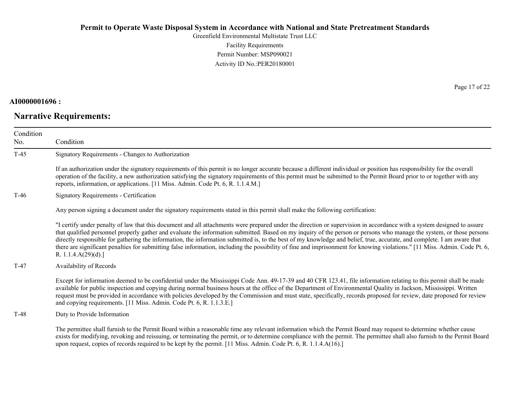Greenfield Environmental Multistate Trust LLC Facility Requirements Permit Number: MSP090021 Activity ID No.:PER20180001

## **AI0000001696 :**

# **Narrative Requirements:**

Page 17 of 22

| Condition<br>No. | Condition                                                                                                                                                                                                                                                                                                                                                                                                                                                                                                                                                                                                                                                                                                                           |
|------------------|-------------------------------------------------------------------------------------------------------------------------------------------------------------------------------------------------------------------------------------------------------------------------------------------------------------------------------------------------------------------------------------------------------------------------------------------------------------------------------------------------------------------------------------------------------------------------------------------------------------------------------------------------------------------------------------------------------------------------------------|
| $T-45$           | Signatory Requirements - Changes to Authorization                                                                                                                                                                                                                                                                                                                                                                                                                                                                                                                                                                                                                                                                                   |
|                  | If an authorization under the signatory requirements of this permit is no longer accurate because a different individual or position has responsibility for the overall<br>operation of the facility, a new authorization satisfying the signatory requirements of this permit must be submitted to the Permit Board prior to or together with any<br>reports, information, or applications. [11 Miss. Admin. Code Pt. 6, R. 1.1.4.M.]                                                                                                                                                                                                                                                                                              |
| T-46             | Signatory Requirements - Certification                                                                                                                                                                                                                                                                                                                                                                                                                                                                                                                                                                                                                                                                                              |
|                  | Any person signing a document under the signatory requirements stated in this permit shall make the following certification:                                                                                                                                                                                                                                                                                                                                                                                                                                                                                                                                                                                                        |
|                  | "I certify under penalty of law that this document and all attachments were prepared under the direction or supervision in accordance with a system designed to assure<br>that qualified personnel properly gather and evaluate the information submitted. Based on my inquiry of the person or persons who manage the system, or those persons<br>directly responsible for gathering the information, the information submitted is, to the best of my knowledge and belief, true, accurate, and complete. I am aware that<br>there are significant penalties for submitting false information, including the possibility of fine and imprisonment for knowing violations." [11 Miss. Admin. Code Pt. 6,<br>R. 1.1.4. $A(29)(d)$ .] |
| T-47             | Availability of Records                                                                                                                                                                                                                                                                                                                                                                                                                                                                                                                                                                                                                                                                                                             |
|                  | Except for information deemed to be confidential under the Mississippi Code Ann. 49-17-39 and 40 CFR 123.41, file information relating to this permit shall be made<br>available for public inspection and copying during normal business hours at the office of the Department of Environmental Quality in Jackson, Mississippi. Written<br>request must be provided in accordance with policies developed by the Commission and must state, specifically, records proposed for review, date proposed for review<br>and copying requirements. [11 Miss. Admin. Code Pt. 6, R. 1.1.3.E.]                                                                                                                                            |
| T-48             | Duty to Provide Information                                                                                                                                                                                                                                                                                                                                                                                                                                                                                                                                                                                                                                                                                                         |
|                  | The permittee shall furnish to the Permit Board within a reasonable time any relevant information which the Permit Board may request to determine whether cause<br>exists for modifying, revoking and reissuing, or terminating the permit, or to determine compliance with the permit. The permittee shall also furnish to the Permit Board<br>upon request, copies of records required to be kept by the permit. [11 Miss. Admin. Code Pt. 6, R. 1.1.4.A(16).]                                                                                                                                                                                                                                                                    |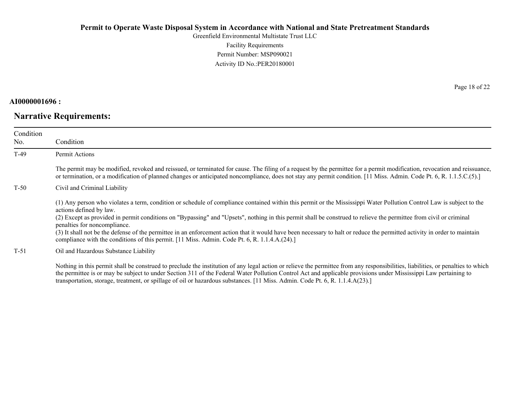Greenfield Environmental Multistate Trust LLC Facility Requirements Permit Number: MSP090021 Activity ID No.:PER20180001

### **AI0000001696 :**

# **Narrative Requirements:**

Page 18 of 22

| Condition<br>No. | Condition                                                                                                                                                                                                                                                                                                                                                                                                                                                                                                                                                                                                                                                                            |
|------------------|--------------------------------------------------------------------------------------------------------------------------------------------------------------------------------------------------------------------------------------------------------------------------------------------------------------------------------------------------------------------------------------------------------------------------------------------------------------------------------------------------------------------------------------------------------------------------------------------------------------------------------------------------------------------------------------|
| $T-49$           | Permit Actions                                                                                                                                                                                                                                                                                                                                                                                                                                                                                                                                                                                                                                                                       |
|                  | The permit may be modified, revoked and reissued, or terminated for cause. The filing of a request by the permittee for a permit modification, revocation and reissuance,<br>or termination, or a modification of planned changes or anticipated noncompliance, does not stay any permit condition. [11 Miss. Admin. Code Pt. 6, R. 1.1.5.C.(5).]                                                                                                                                                                                                                                                                                                                                    |
| $T-50$           | Civil and Criminal Liability                                                                                                                                                                                                                                                                                                                                                                                                                                                                                                                                                                                                                                                         |
|                  | (1) Any person who violates a term, condition or schedule of compliance contained within this permit or the Mississippi Water Pollution Control Law is subject to the<br>actions defined by law.<br>(2) Except as provided in permit conditions on "Bypassing" and "Upsets", nothing in this permit shall be construed to relieve the permittee from civil or criminal<br>penalties for noncompliance.<br>(3) It shall not be the defense of the permittee in an enforcement action that it would have been necessary to halt or reduce the permitted activity in order to maintain<br>compliance with the conditions of this permit. [11 Miss. Admin. Code Pt. 6, R. 1.1.4.A.(24).] |
| $T-51$           | Oil and Hazardous Substance Liability                                                                                                                                                                                                                                                                                                                                                                                                                                                                                                                                                                                                                                                |
|                  | Nothing in this permit shall be construed to preclude the institution of any legal action or relieve the permittee from any responsibilities, liabilities, or penalties to which                                                                                                                                                                                                                                                                                                                                                                                                                                                                                                     |

the permittee is or may be subject to under Section 311 of the Federal Water Pollution Control Act and applicable provisions under Mississippi Law pertaining to transportation, storage, treatment, or spillage of oil or hazardous substances. [11 Miss. Admin. Code Pt. 6, R. 1.1.4.A(23).]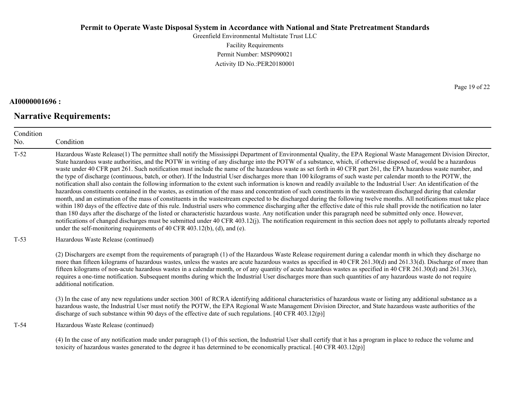Greenfield Environmental Multistate Trust LLC Facility Requirements Permit Number: MSP090021 Activity ID No.:PER20180001

## **AI0000001696 :**

# **Narrative Requirements:**

Page 19 of 22

| Condition<br>No. | Condition                                                                                                                                                                                                                                                                                                                                                                                                                                                                                                                                                                                                                                                                                                                                                                                                                                                                                                                                                                                                                                                                                                                                                                                                                                                                                                                                                                                                                                                                                                                                                                                                                                                                                                                                                                                                          |  |
|------------------|--------------------------------------------------------------------------------------------------------------------------------------------------------------------------------------------------------------------------------------------------------------------------------------------------------------------------------------------------------------------------------------------------------------------------------------------------------------------------------------------------------------------------------------------------------------------------------------------------------------------------------------------------------------------------------------------------------------------------------------------------------------------------------------------------------------------------------------------------------------------------------------------------------------------------------------------------------------------------------------------------------------------------------------------------------------------------------------------------------------------------------------------------------------------------------------------------------------------------------------------------------------------------------------------------------------------------------------------------------------------------------------------------------------------------------------------------------------------------------------------------------------------------------------------------------------------------------------------------------------------------------------------------------------------------------------------------------------------------------------------------------------------------------------------------------------------|--|
| $T-52$           | Hazardous Waste Release(1) The permittee shall notify the Mississippi Department of Environmental Quality, the EPA Regional Waste Management Division Director,<br>State hazardous waste authorities, and the POTW in writing of any discharge into the POTW of a substance, which, if otherwise disposed of, would be a hazardous<br>waste under 40 CFR part 261. Such notification must include the name of the hazardous waste as set forth in 40 CFR part 261, the EPA hazardous waste number, and<br>the type of discharge (continuous, batch, or other). If the Industrial User discharges more than 100 kilograms of such waste per calendar month to the POTW, the<br>notification shall also contain the following information to the extent such information is known and readily available to the Industrial User: An identification of the<br>hazardous constituents contained in the wastes, as estimation of the mass and concentration of such constituents in the wastestream discharged during that calendar<br>month, and an estimation of the mass of constituents in the wastestream expected to be discharged during the following twelve months. All notifications must take place<br>within 180 days of the effective date of this rule. Industrial users who commence discharging after the effective date of this rule shall provide the notification no later<br>than 180 days after the discharge of the listed or characteristic hazardous waste. Any notification under this paragraph need be submitted only once. However,<br>notifications of changed discharges must be submitted under 40 CFR 403.12(j). The notification requirement in this section does not apply to pollutants already reported<br>under the self-monitoring requirements of 40 CFR 403.12(b), (d), and (e). |  |
| $T-53$           | Hazardous Waste Release (continued)                                                                                                                                                                                                                                                                                                                                                                                                                                                                                                                                                                                                                                                                                                                                                                                                                                                                                                                                                                                                                                                                                                                                                                                                                                                                                                                                                                                                                                                                                                                                                                                                                                                                                                                                                                                |  |
|                  | (2) Dischargers are exempt from the requirements of paragraph (1) of the Hazardous Waste Release requirement during a calendar month in which they discharge no<br>more than fifteen kilograms of hazardous wastes, unless the wastes are acute hazardous wastes as specified in 40 CFR 261.30(d) and 261.33(d). Discharge of more than<br>fifteen kilograms of non-acute hazardous wastes in a calendar month, or of any quantity of acute hazardous wastes as specified in 40 CFR 261.30(d) and 261.33(e),<br>requires a one-time notification. Subsequent months during which the Industrial User discharges more than such quantities of any hazardous waste do not require<br>additional notification.                                                                                                                                                                                                                                                                                                                                                                                                                                                                                                                                                                                                                                                                                                                                                                                                                                                                                                                                                                                                                                                                                                        |  |
|                  | (3) In the case of any new regulations under section 3001 of RCRA identifying additional characteristics of hazardous waste or listing any additional substance as a<br>hazardous waste, the Industrial User must notify the POTW, the EPA Regional Waste Management Division Director, and State hazardous waste authorities of the<br>discharge of such substance within 90 days of the effective date of such regulations. $[40 \text{ CFR } 403.12(p)]$                                                                                                                                                                                                                                                                                                                                                                                                                                                                                                                                                                                                                                                                                                                                                                                                                                                                                                                                                                                                                                                                                                                                                                                                                                                                                                                                                        |  |
| $T-54$           | Hazardous Waste Release (continued)                                                                                                                                                                                                                                                                                                                                                                                                                                                                                                                                                                                                                                                                                                                                                                                                                                                                                                                                                                                                                                                                                                                                                                                                                                                                                                                                                                                                                                                                                                                                                                                                                                                                                                                                                                                |  |
|                  | (4) In the case of any notification made under paragraph (1) of this section, the Industrial User shall certify that it has a program in place to reduce the volume and<br>toxicity of hazardous wastes generated to the degree it has determined to be economically practical. $[40 \text{ CFR } 403.12(p)]$                                                                                                                                                                                                                                                                                                                                                                                                                                                                                                                                                                                                                                                                                                                                                                                                                                                                                                                                                                                                                                                                                                                                                                                                                                                                                                                                                                                                                                                                                                      |  |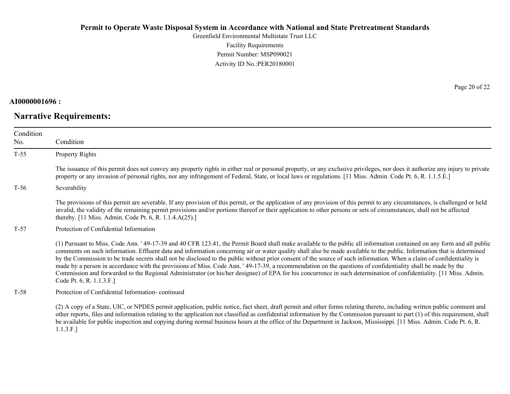Greenfield Environmental Multistate Trust LLC Facility Requirements Permit Number: MSP090021 Activity ID No.:PER20180001

### **AI0000001696 :**

# **Narrative Requirements:**

Page 20 of 22

| Condition<br>No. | Condition                                                                                                                                                                                                                                                                                                                                                                                                                                                                                                                                                                                                                                                                                                                                                                                                                                                                                  |
|------------------|--------------------------------------------------------------------------------------------------------------------------------------------------------------------------------------------------------------------------------------------------------------------------------------------------------------------------------------------------------------------------------------------------------------------------------------------------------------------------------------------------------------------------------------------------------------------------------------------------------------------------------------------------------------------------------------------------------------------------------------------------------------------------------------------------------------------------------------------------------------------------------------------|
| $T-55$           | Property Rights                                                                                                                                                                                                                                                                                                                                                                                                                                                                                                                                                                                                                                                                                                                                                                                                                                                                            |
|                  | The issuance of this permit does not convey any property rights in either real or personal property, or any exclusive privileges, nor does it authorize any injury to private<br>property or any invasion of personal rights, nor any infringement of Federal, State, or local laws or regulations. [11 Miss. Admin. Code Pt. 6, R. 1.1.5.E.]                                                                                                                                                                                                                                                                                                                                                                                                                                                                                                                                              |
| $T-56$           | Severability                                                                                                                                                                                                                                                                                                                                                                                                                                                                                                                                                                                                                                                                                                                                                                                                                                                                               |
|                  | The provisions of this permit are severable. If any provision of this permit, or the application of any provision of this permit to any circumstances, is challenged or held<br>invalid, the validity of the remaining permit provisions and/or portions thereof or their application to other persons or sets of circumstances, shall not be affected<br>thereby. [11 Miss. Admin. Code Pt. 6, R. 1.1.4.A(25).]                                                                                                                                                                                                                                                                                                                                                                                                                                                                           |
| $T-57$           | Protection of Confidential Information                                                                                                                                                                                                                                                                                                                                                                                                                                                                                                                                                                                                                                                                                                                                                                                                                                                     |
|                  | (1) Pursuant to Miss. Code Ann. '49-17-39 and 40 CFR 123.41, the Permit Board shall make available to the public all information contained on any form and all public<br>comments on such information. Effluent data and information concerning air or water quality shall also be made available to the public. Information that is determined<br>by the Commission to be trade secrets shall not be disclosed to the public without prior consent of the source of such information. When a claim of confidentiality is<br>made by a person in accordance with the provisions of Miss. Code Ann. '49-17-39, a recommendation on the questions of confidentiality shall be made by the<br>Commission and forwarded to the Regional Administrator (or his/her designee) of EPA for his concurrence in such determination of confidentiality. [11 Miss. Admin.]<br>Code Pt. 6, R. 1.1.3.F.] |
| $T-58$           | Protection of Confidential Information-continued                                                                                                                                                                                                                                                                                                                                                                                                                                                                                                                                                                                                                                                                                                                                                                                                                                           |
|                  | (2) A copy of a State, UIC, or NPDES permit application, public notice, fact sheet, draft permit and other forms relating thereto, including written public comment and<br>other reports, files and information relating to the application not classified as confidential information by the Commission pursuant to part (1) of this requirement, shall<br>be available for public inspection and copying during normal business hours at the office of the Department in Jackson, Mississippi. [11 Miss. Admin. Code Pt. 6, R.                                                                                                                                                                                                                                                                                                                                                           |

be available<br>1.1.3.F.]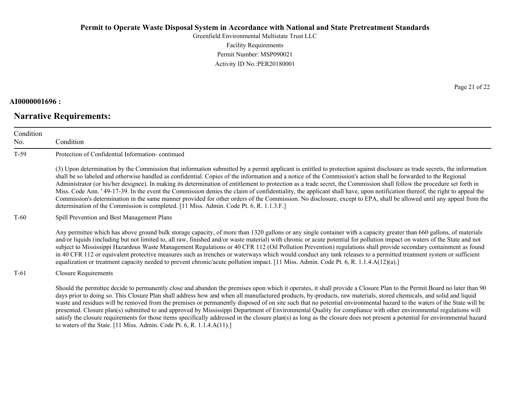Greenfield Environmental Multistate Trust LLC Facility Requirements Permit Number: MSP090021 Activity ID No.:PER20180001

### **AI0000001696 :**

# **Narrative Requirements:**

Page 21 of 22

| Condition |                                                                                                                                                                                                                                                                                                                                                                                                                                                                                                                                                                                                                                                                                                                                                                                                                                                                                                                                                                      |
|-----------|----------------------------------------------------------------------------------------------------------------------------------------------------------------------------------------------------------------------------------------------------------------------------------------------------------------------------------------------------------------------------------------------------------------------------------------------------------------------------------------------------------------------------------------------------------------------------------------------------------------------------------------------------------------------------------------------------------------------------------------------------------------------------------------------------------------------------------------------------------------------------------------------------------------------------------------------------------------------|
| No.       | Condition                                                                                                                                                                                                                                                                                                                                                                                                                                                                                                                                                                                                                                                                                                                                                                                                                                                                                                                                                            |
| $T-59$    | Protection of Confidential Information-continued                                                                                                                                                                                                                                                                                                                                                                                                                                                                                                                                                                                                                                                                                                                                                                                                                                                                                                                     |
|           | (3) Upon determination by the Commission that information submitted by a permit applicant is entitled to protection against disclosure as trade secrets, the information<br>shall be so labeled and otherwise handled as confidential. Copies of the information and a notice of the Commission's action shall be forwarded to the Regional<br>Administrator (or his/her designee). In making its determination of entitlement to protection as a trade secret, the Commission shall follow the procedure set forth in<br>Miss. Code Ann. '49-17-39. In the event the Commission denies the claim of confidentiality, the applicant shall have, upon notification thereof, the right to appeal the<br>Commission's determination in the same manner provided for other orders of the Commission. No disclosure, except to EPA, shall be allowed until any appeal from the<br>determination of the Commission is completed. [11 Miss. Admin. Code Pt. 6, R. 1.1.3.F.] |
| $T-60$    | Spill Prevention and Best Management Plans                                                                                                                                                                                                                                                                                                                                                                                                                                                                                                                                                                                                                                                                                                                                                                                                                                                                                                                           |
|           | Any permittee which has above ground bulk storage capacity, of more than 1320 gallons or any single container with a capacity greater than 660 gallons, of materials<br>and/or liquids (including but not limited to, all raw, finished and/or waste material) with chronic or acute potential for pollution impact on waters of the State and not<br>subject to Mississippi Hazardous Waste Management Regulations or 40 CFR 112 (Oil Pollution Prevention) regulations shall provide secondary containment as found<br>in 40 CFR 112 or equivalent protective measures such as trenches or waterways which would conduct any tank releases to a permitted treatment system or sufficient<br>equalization or treatment capacity needed to prevent chronic/acute pollution impact. [11 Miss. Admin. Code Pt. 6, R. 1.1.4.A(12)(a).]                                                                                                                                  |
| $T-61$    | <b>Closure Requirements</b>                                                                                                                                                                                                                                                                                                                                                                                                                                                                                                                                                                                                                                                                                                                                                                                                                                                                                                                                          |
|           | Should the permittee decide to permanently close and abandon the premises upon which it operates, it shall provide a Closure Plan to the Permit Board no later than 90<br>days prior to doing so. This Closure Plan shall address how and when all manufactured products, by-products, raw materials, stored chemicals, and solid and liquid<br>waste and residues will be removed from the premises or permanently disposed of on site such that no potential environmental hazard to the waters of the State will be<br>presented. Closure plan(s) submitted to and approved by Mississippi Department of Environmental Quality for compliance with other environmental regulations will<br>satisfy the closure requirements for those items specifically addressed in the closure plan(s) as long as the closure does not present a potential for environmental hazard<br>to waters of the State. [11 Miss. Admin. Code Pt. 6, R. 1.1.4. $A(11)$ .]               |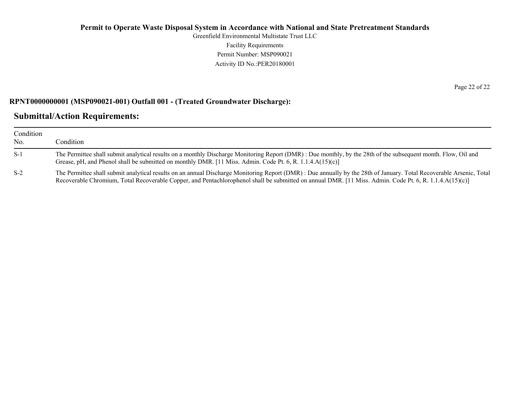Greenfield Environmental Multistate Trust LLC Facility Requirements Permit Number: MSP090021 Activity ID No.:PER20180001

### **RPNT0000000001 (MSP090021-001) Outfall 001 - (Treated Groundwater Discharge):**

# **Submittal/Action Requirements:**

| Condition<br>No. | Condition                                                                                                                                                                                                                                                                                                                       |
|------------------|---------------------------------------------------------------------------------------------------------------------------------------------------------------------------------------------------------------------------------------------------------------------------------------------------------------------------------|
| $S-1$            | The Permittee shall submit analytical results on a monthly Discharge Monitoring Report (DMR) : Due monthly, by the 28th of the subsequent month. Flow, Oil and<br>Grease, pH, and Phenol shall be submitted on monthly DMR. [11 Miss. Admin. Code Pt. 6, R. 1.1.4.A(15)(c)]                                                     |
| $S-2$            | The Permittee shall submit analytical results on an annual Discharge Monitoring Report (DMR) : Due annually by the 28th of January. Total Recoverable Arsenic, Total<br>Recoverable Chromium, Total Recoverable Copper, and Pentachlorophenol shall be submitted on annual DMR. [11 Miss. Admin. Code Pt. 6, R. 1.1.4.A(15)(c)] |

Page 22 of 22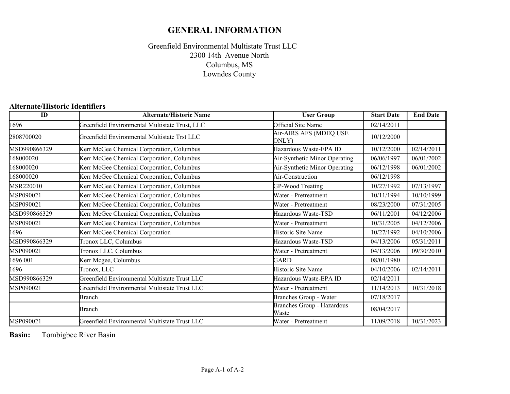# **GENERAL INFORMATION**

## Greenfield Environmental Multistate Trust LLC Columbus, MS Lowndes County 2300 14th Avenue North

### **Alternate/Historic Identifiers**

| $\overline{ID}$ | <b>Alternate/Historic Name</b>                 | <b>User Group</b>                          | <b>Start Date</b> | <b>End Date</b> |
|-----------------|------------------------------------------------|--------------------------------------------|-------------------|-----------------|
| 1696            | Greenfield Environmental Multistate Trust, LLC | <b>Official Site Name</b>                  | 02/14/2011        |                 |
| 2808700020      | Greenfield Environmental Multistate Trst LLC   | Air-AIRS AFS (MDEQ USE<br>ONLY)            | 10/12/2000        |                 |
| MSD990866329    | Kerr McGee Chemical Corporation, Columbus      | Hazardous Waste-EPA ID                     | 10/12/2000        | 02/14/2011      |
| 168000020       | Kerr McGee Chemical Corporation, Columbus      | Air-Synthetic Minor Operating              | 06/06/1997        | 06/01/2002      |
| 168000020       | Kerr McGee Chemical Corporation, Columbus      | Air-Synthetic Minor Operating              | 06/12/1998        | 06/01/2002      |
| 68000020        | Kerr McGee Chemical Corporation, Columbus      | Air-Construction                           | 06/12/1998        |                 |
| MSR220010       | Kerr McGee Chemical Corporation, Columbus      | GP-Wood Treating                           | 10/27/1992        | 07/13/1997      |
| MSP090021       | Kerr McGee Chemical Corporation, Columbus      | Water - Pretreatment                       | 10/11/1994        | 10/10/1999      |
| MSP090021       | Kerr McGee Chemical Corporation, Columbus      | Water - Pretreatment                       | 08/23/2000        | 07/31/2005      |
| MSD990866329    | Kerr McGee Chemical Corporation, Columbus      | Hazardous Waste-TSD                        | 06/11/2001        | 04/12/2006      |
| MSP090021       | Kerr McGee Chemical Corporation, Columbus      | Water - Pretreatment                       | 10/31/2005        | 04/12/2006      |
| 1696            | Kerr McGee Chemical Corporation                | Historic Site Name                         | 10/27/1992        | 04/10/2006      |
| MSD990866329    | Tronox LLC, Columbus                           | Hazardous Waste-TSD                        | 04/13/2006        | 05/31/2011      |
| MSP090021       | Tronox LLC, Columbus                           | Water - Pretreatment                       | 04/13/2006        | 09/30/2010      |
| 1696 001        | Kerr Mcgee, Columbus                           | GARD                                       | 08/01/1980        |                 |
| 1696            | Tronox, LLC                                    | Historic Site Name                         | 04/10/2006        | 02/14/2011      |
| MSD990866329    | Greenfield Environmental Multistate Trust LLC  | Hazardous Waste-EPA ID                     | 02/14/2011        |                 |
| MSP090021       | Greenfield Environmental Multistate Trust LLC  | Water - Pretreatment                       | 11/14/2013        | 10/31/2018      |
|                 | Branch                                         | Branches Group - Water                     | 07/18/2017        |                 |
|                 | <b>Branch</b>                                  | <b>Branches Group - Hazardous</b><br>Waste | 08/04/2017        |                 |
| MSP090021       | Greenfield Environmental Multistate Trust LLC  | Water - Pretreatment                       | 11/09/2018        | 10/31/2023      |

**Basin:** Tombigbee River Basin